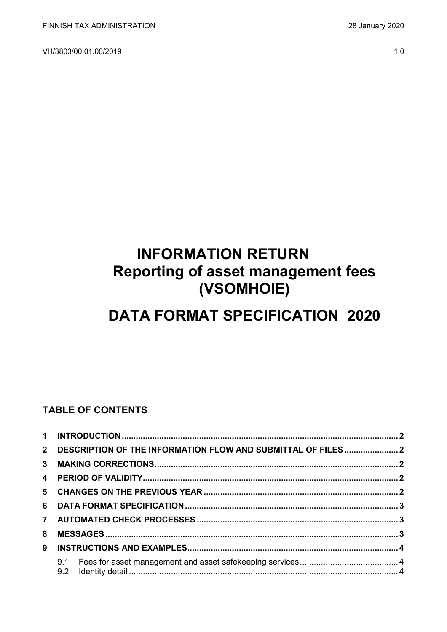VH/3803/00.01.00/2019 1.0

# **INFORMATION RETURN Reporting of asset management fees (VSOMHOIE)**

# **DATA FORMAT SPECIFICATION 2020**

## **TABLE OF CONTENTS**

| 8 |  |  |  |  |  |  |
|---|--|--|--|--|--|--|
| 9 |  |  |  |  |  |  |
|   |  |  |  |  |  |  |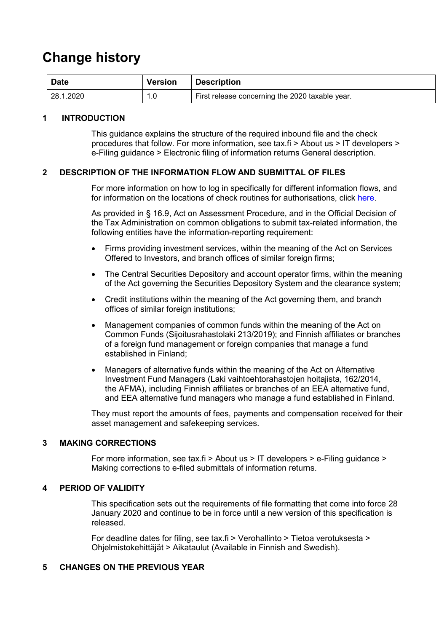## **Change history**

| <b>Date</b> | <b>Version</b> | <b>Description</b>                              |
|-------------|----------------|-------------------------------------------------|
| 128.1.2020  | 1.0<br>4       | First release concerning the 2020 taxable year. |

#### <span id="page-1-0"></span>**1 INTRODUCTION**

This guidance explains the structure of the required inbound file and the check procedures that follow. For more information, see tax.fi > About us > IT developers > e-Filing guidance > Electronic filing of information returns General description.

#### <span id="page-1-1"></span>**2 DESCRIPTION OF THE INFORMATION FLOW AND SUBMITTAL OF FILES**

For more information on how to log in specifically for different information flows, and for information on the locations of check routines for authorisations, click [here.](https://www.ilmoitin.fi/webtamo/sivut/IlmoituslajiRoolit?kieli=en&tv=VSOMHOIE)

As provided in § 16.9, Act on Assessment Procedure, and in the Official Decision of the Tax Administration on common obligations to submit tax-related information, the following entities have the information-reporting requirement:

- Firms providing investment services, within the meaning of the Act on Services Offered to Investors, and branch offices of similar foreign firms;
- The Central Securities Depository and account operator firms, within the meaning of the Act governing the Securities Depository System and the clearance system;
- Credit institutions within the meaning of the Act governing them, and branch offices of similar foreign institutions;
- Management companies of common funds within the meaning of the Act on Common Funds (Sijoitusrahastolaki 213/2019); and Finnish affiliates or branches of a foreign fund management or foreign companies that manage a fund established in Finland;
- Managers of alternative funds within the meaning of the Act on Alternative Investment Fund Managers (Laki vaihtoehtorahastojen hoitajista, 162/2014, the AFMA), including Finnish affiliates or branches of an EEA alternative fund, and EEA alternative fund managers who manage a fund established in Finland.

They must report the amounts of fees, payments and compensation received for their asset management and safekeeping services.

#### <span id="page-1-2"></span>**3 MAKING CORRECTIONS**

For more information, see tax.fi > About us > IT developers > e-Filing guidance > Making corrections to e-filed submittals of information returns.

#### <span id="page-1-3"></span>**4 PERIOD OF VALIDITY**

This specification sets out the requirements of file formatting that come into force 28 January 2020 and continue to be in force until a new version of this specification is released.

For deadline dates for filing, see tax.fi > Verohallinto > Tietoa verotuksesta > Ohjelmistokehittäjät > Aikataulut (Available in Finnish and Swedish).

#### <span id="page-1-4"></span>**5 CHANGES ON THE PREVIOUS YEAR**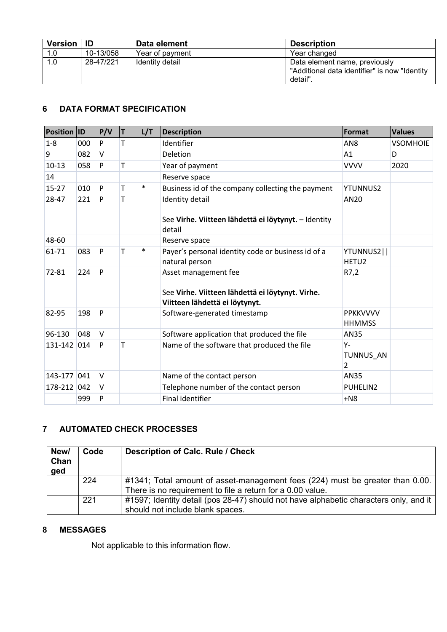| Version   ID |           | Data element    | <b>Description</b>                                                                         |
|--------------|-----------|-----------------|--------------------------------------------------------------------------------------------|
| 1.0          | 10-13/058 | Year of payment | Year changed                                                                               |
| 1.0          | 28-47/221 | Identity detail | Data element name, previously<br>"Additional data identifier" is now "Identity"<br>detail" |

## <span id="page-2-0"></span>**6 DATA FORMAT SPECIFICATION**

| Position ID |     | P/V    | T | L/T    | <b>Description</b>                                                                                         | Format                           | <b>Values</b>   |
|-------------|-----|--------|---|--------|------------------------------------------------------------------------------------------------------------|----------------------------------|-----------------|
| $1 - 8$     | 000 | P      | T |        | Identifier                                                                                                 | AN <sub>8</sub>                  | <b>VSOMHOIE</b> |
| 9           | 082 | $\vee$ |   |        | Deletion                                                                                                   | A1                               | D               |
| $10-13$     | 058 | P      | T |        | Year of payment                                                                                            | <b>VVVV</b>                      | 2020            |
| 14          |     |        |   |        | Reserve space                                                                                              |                                  |                 |
| $15 - 27$   | 010 | P      | T | $\ast$ | Business id of the company collecting the payment                                                          | <b>YTUNNUS2</b>                  |                 |
| 28-47       | 221 | P      | T |        | <b>Identity detail</b><br>See Virhe. Viitteen lähdettä ei löytynyt. - Identity<br>detail                   | AN20                             |                 |
| 48-60       |     |        |   |        | Reserve space                                                                                              |                                  |                 |
| $61 - 71$   | 083 | P      | T | $\ast$ | Payer's personal identity code or business id of a<br>natural person                                       | YTUNNUS2  <br>HETU <sub>2</sub>  |                 |
| 72-81       | 224 | P      |   |        | Asset management fee<br>See Virhe. Viitteen lähdettä ei löytynyt. Virhe.<br>Viitteen lähdettä ei löytynyt. | R7,2                             |                 |
| 82-95       | 198 | P      |   |        | Software-generated timestamp                                                                               | <b>PPKKVVVV</b><br><b>HHMMSS</b> |                 |
| 96-130      | 048 | $\vee$ |   |        | Software application that produced the file                                                                | AN35                             |                 |
| 131-142 014 |     | P      | T |        | Name of the software that produced the file                                                                | Υ-<br>TUNNUS AN<br>2             |                 |
| 143-177 041 |     | $\vee$ |   |        | Name of the contact person                                                                                 | AN35                             |                 |
| 178-212     | 042 | $\vee$ |   |        | Telephone number of the contact person                                                                     | PUHELIN2                         |                 |
|             | 999 | P      |   |        | <b>Final identifier</b>                                                                                    | $+N8$                            |                 |

## <span id="page-2-1"></span>**7 AUTOMATED CHECK PROCESSES**

| New/<br>Chan<br>ged | Code | <b>Description of Calc. Rule / Check</b>                                                                                                    |
|---------------------|------|---------------------------------------------------------------------------------------------------------------------------------------------|
|                     | 224  | #1341; Total amount of asset-management fees (224) must be greater than 0.00.<br>There is no requirement to file a return for a 0.00 value. |
|                     | 221  | #1597; Identity detail (pos 28-47) should not have alphabetic characters only, and it<br>should not include blank spaces.                   |

## <span id="page-2-2"></span>**8 MESSAGES**

Not applicable to this information flow.